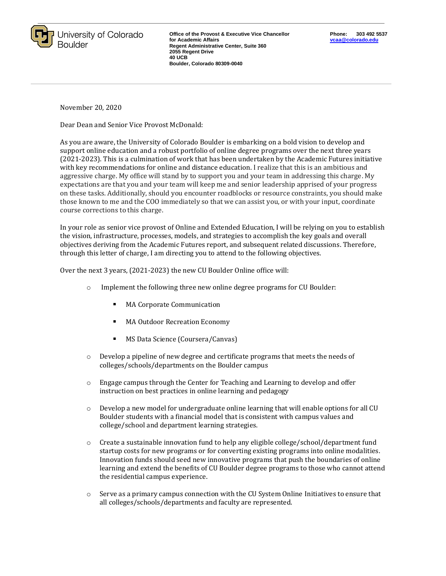

**Office of the Provost & Executive Vice Chancellor for Academic Affairs Regent Administrative Center, Suite 360 2055 Regent Drive 40 UCB Boulder, Colorado 80309-0040** 

November 20, 2020

Dear Dean and Senior Vice Provost McDonald:

As you are aware, the University of Colorado Boulder is embarking on a bold vision to develop and support online education and a robust portfolio of online degree programs over the next three years (2021-2023). This is a culmination of work that has been undertaken by the Academic Futures initiative with key recommendations for online and distance education. I realize that this is an ambitious and aggressive charge. My office will stand by to support you and your team in addressing this charge. My expectations are that you and your team will keep me and senior leadership apprised of your progress on these tasks. Additionally, should you encounter roadblocks or resource constraints, you should make those known to me and the COO immediately so that we can assist you, or with your input, coordinate course corrections to this charge.

In your role as senior vice provost of Online and Extended Education, I will be relying on you to establish the vision, infrastructure, processes, models, and strategies to accomplish the key goals and overall objectives deriving from the Academic Futures report, and subsequent related discussions. Therefore, through this letter of charge, I am directing you to attend to the following objectives.

Over the next 3 years, (2021-2023) the new CU Boulder Online office will:

- o Implement the following three new online degree programs for CU Boulder:
	- MA Corporate Communication
	- MA Outdoor Recreation Economy
	- ×, MS Data Science (Coursera/Canvas)
- o Develop a pipeline of new degree and certificate programs that meets the needs of colleges/schools/departments on the Boulder campus
- $\circ$  Engage campus through the Center for Teaching and Learning to develop and offer instruction on best practices in online learning and pedagogy
- o Develop a new model for undergraduate online learning that will enable options for all CU Boulder students with a financial model that is consistent with campus values and college/school and department learning strategies.
- $\circ$  Create a sustainable innovation fund to help any eligible college/school/department fund startup costs for new programs or for converting existing programs into online modalities. Innovation funds should seed new innovative programs that push the boundaries of online learning and extend the benefits of CU Boulder degree programs to those who cannot attend the residential campus experience.
- $\circ$  Serve as a primary campus connection with the CU System Online Initiatives to ensure that all colleges/schools/departments and faculty are represented.